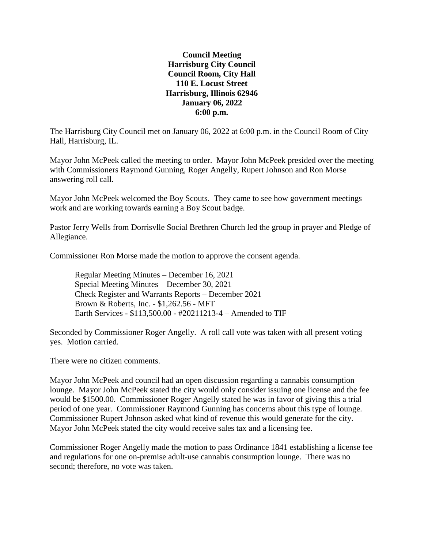## **Council Meeting Harrisburg City Council Council Room, City Hall 110 E. Locust Street Harrisburg, Illinois 62946 January 06, 2022 6:00 p.m.**

The Harrisburg City Council met on January 06, 2022 at 6:00 p.m. in the Council Room of City Hall, Harrisburg, IL.

Mayor John McPeek called the meeting to order. Mayor John McPeek presided over the meeting with Commissioners Raymond Gunning, Roger Angelly, Rupert Johnson and Ron Morse answering roll call.

Mayor John McPeek welcomed the Boy Scouts. They came to see how government meetings work and are working towards earning a Boy Scout badge.

Pastor Jerry Wells from Dorrisvlle Social Brethren Church led the group in prayer and Pledge of Allegiance.

Commissioner Ron Morse made the motion to approve the consent agenda.

Regular Meeting Minutes – December 16, 2021 Special Meeting Minutes – December 30, 2021 Check Register and Warrants Reports – December 2021 Brown & Roberts, Inc. - \$1,262.56 - MFT Earth Services - \$113,500.00 - #20211213-4 – Amended to TIF

Seconded by Commissioner Roger Angelly. A roll call vote was taken with all present voting yes. Motion carried.

There were no citizen comments.

Mayor John McPeek and council had an open discussion regarding a cannabis consumption lounge. Mayor John McPeek stated the city would only consider issuing one license and the fee would be \$1500.00. Commissioner Roger Angelly stated he was in favor of giving this a trial period of one year. Commissioner Raymond Gunning has concerns about this type of lounge. Commissioner Rupert Johnson asked what kind of revenue this would generate for the city. Mayor John McPeek stated the city would receive sales tax and a licensing fee.

Commissioner Roger Angelly made the motion to pass Ordinance 1841 establishing a license fee and regulations for one on-premise adult-use cannabis consumption lounge. There was no second; therefore, no vote was taken.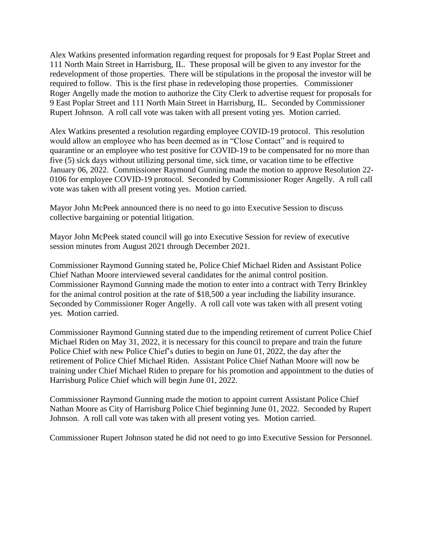Alex Watkins presented information regarding request for proposals for 9 East Poplar Street and 111 North Main Street in Harrisburg, IL. These proposal will be given to any investor for the redevelopment of those properties. There will be stipulations in the proposal the investor will be required to follow. This is the first phase in redeveloping those properties. Commissioner Roger Angelly made the motion to authorize the City Clerk to advertise request for proposals for 9 East Poplar Street and 111 North Main Street in Harrisburg, IL. Seconded by Commissioner Rupert Johnson. A roll call vote was taken with all present voting yes. Motion carried.

Alex Watkins presented a resolution regarding employee COVID-19 protocol. This resolution would allow an employee who has been deemed as in "Close Contact" and is required to quarantine or an employee who test positive for COVID-19 to be compensated for no more than five (5) sick days without utilizing personal time, sick time, or vacation time to be effective January 06, 2022. Commissioner Raymond Gunning made the motion to approve Resolution 22- 0106 for employee COVID-19 protocol. Seconded by Commissioner Roger Angelly. A roll call vote was taken with all present voting yes. Motion carried.

Mayor John McPeek announced there is no need to go into Executive Session to discuss collective bargaining or potential litigation.

Mayor John McPeek stated council will go into Executive Session for review of executive session minutes from August 2021 through December 2021.

Commissioner Raymond Gunning stated he, Police Chief Michael Riden and Assistant Police Chief Nathan Moore interviewed several candidates for the animal control position. Commissioner Raymond Gunning made the motion to enter into a contract with Terry Brinkley for the animal control position at the rate of \$18,500 a year including the liability insurance. Seconded by Commissioner Roger Angelly. A roll call vote was taken with all present voting yes. Motion carried.

Commissioner Raymond Gunning stated due to the impending retirement of current Police Chief Michael Riden on May 31, 2022, it is necessary for this council to prepare and train the future Police Chief with new Police Chief's duties to begin on June 01, 2022, the day after the retirement of Police Chief Michael Riden. Assistant Police Chief Nathan Moore will now be training under Chief Michael Riden to prepare for his promotion and appointment to the duties of Harrisburg Police Chief which will begin June 01, 2022.

Commissioner Raymond Gunning made the motion to appoint current Assistant Police Chief Nathan Moore as City of Harrisburg Police Chief beginning June 01, 2022. Seconded by Rupert Johnson. A roll call vote was taken with all present voting yes. Motion carried.

Commissioner Rupert Johnson stated he did not need to go into Executive Session for Personnel.